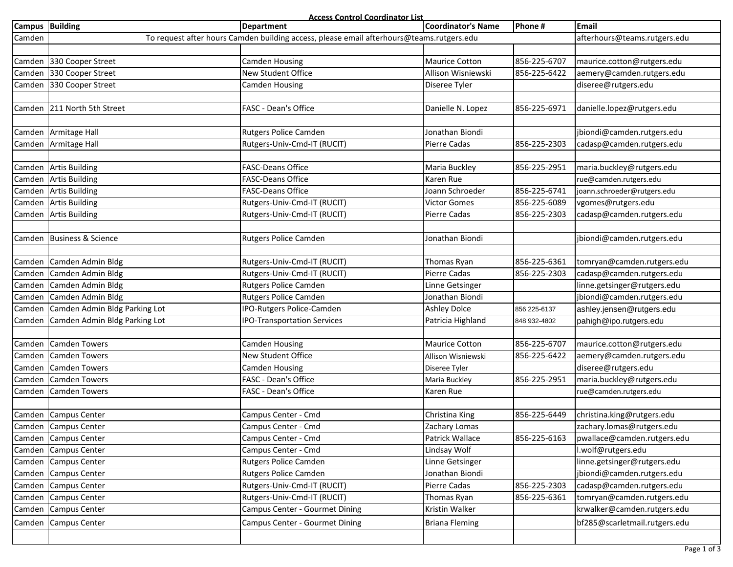**Access Control Coordinator List**

|        | Campus Building               | Department                                                                               | <b>Coordinator's Name</b> | Phone #      | Email                         |
|--------|-------------------------------|------------------------------------------------------------------------------------------|---------------------------|--------------|-------------------------------|
| Camden |                               | To request after hours Camden building access, please email afterhours@teams.rutgers.edu |                           |              | afterhours@teams.rutgers.edu  |
|        |                               |                                                                                          |                           |              |                               |
|        | Camden 330 Cooper Street      | <b>Camden Housing</b>                                                                    | <b>Maurice Cotton</b>     | 856-225-6707 | maurice.cotton@rutgers.edu    |
|        | Camden 330 Cooper Street      | New Student Office                                                                       | Allison Wisniewski        | 856-225-6422 | aemery@camden.rutgers.edu     |
|        | Camden 330 Cooper Street      | <b>Camden Housing</b>                                                                    | Diseree Tyler             |              | diseree@rutgers.edu           |
|        |                               |                                                                                          |                           |              |                               |
|        | Camden 211 North 5th Street   | FASC - Dean's Office                                                                     | Danielle N. Lopez         | 856-225-6971 | danielle.lopez@rutgers.edu    |
|        |                               |                                                                                          |                           |              |                               |
|        | Camden Armitage Hall          | Rutgers Police Camden                                                                    | Jonathan Biondi           |              | jbiondi@camden.rutgers.edu    |
|        | Camden Armitage Hall          | Rutgers-Univ-Cmd-IT (RUCIT)                                                              | <b>Pierre Cadas</b>       | 856-225-2303 | cadasp@camden.rutgers.edu     |
|        |                               |                                                                                          |                           |              |                               |
|        | Camden Artis Building         | <b>FASC-Deans Office</b>                                                                 | Maria Buckley             | 856-225-2951 | maria.buckley@rutgers.edu     |
|        | Camden Artis Building         | <b>FASC-Deans Office</b>                                                                 | Karen Rue                 |              | rue@camden.rutgers.edu        |
|        | Camden Artis Building         | <b>FASC-Deans Office</b>                                                                 | Joann Schroeder           | 856-225-6741 | joann.schroeder@rutgers.edu   |
|        | Camden Artis Building         | Rutgers-Univ-Cmd-IT (RUCIT)                                                              | <b>Victor Gomes</b>       | 856-225-6089 | vgomes@rutgers.edu            |
|        | Camden Artis Building         | Rutgers-Univ-Cmd-IT (RUCIT)                                                              | Pierre Cadas              | 856-225-2303 | cadasp@camden.rutgers.edu     |
|        |                               |                                                                                          |                           |              |                               |
|        | Camden Business & Science     | Rutgers Police Camden                                                                    | Jonathan Biondi           |              | jbiondi@camden.rutgers.edu    |
|        |                               |                                                                                          |                           |              |                               |
|        | Camden Camden Admin Bldg      | Rutgers-Univ-Cmd-IT (RUCIT)                                                              | Thomas Ryan               | 856-225-6361 | tomryan@camden.rutgers.edu    |
|        | Camden Camden Admin Bldg      | Rutgers-Univ-Cmd-IT (RUCIT)                                                              | <b>Pierre Cadas</b>       | 856-225-2303 | cadasp@camden.rutgers.edu     |
|        | Camden Camden Admin Bldg      | <b>Rutgers Police Camden</b>                                                             | Linne Getsinger           |              | linne.getsinger@rutgers.edu   |
|        | Camden Camden Admin Bldg      | <b>Rutgers Police Camden</b>                                                             | Jonathan Biondi           |              | jbiondi@camden.rutgers.edu    |
| Camden | Camden Admin Bldg Parking Lot | IPO-Rutgers Police-Camden                                                                | <b>Ashley Dolce</b>       | 856 225-6137 | ashley.jensen@rutgers.edu     |
| Camden | Camden Admin Bldg Parking Lot | <b>IPO-Transportation Services</b>                                                       | Patricia Highland         | 848 932-4802 | pahigh@ipo.rutgers.edu        |
|        |                               |                                                                                          |                           |              |                               |
|        | Camden Camden Towers          | Camden Housing                                                                           | <b>Maurice Cotton</b>     | 856-225-6707 | maurice.cotton@rutgers.edu    |
| Camden | Camden Towers                 | New Student Office                                                                       | Allison Wisniewski        | 856-225-6422 | aemery@camden.rutgers.edu     |
| Camden | Camden Towers                 | Camden Housing                                                                           | Diseree Tyler             |              | diseree@rutgers.edu           |
|        | Camden Camden Towers          | FASC - Dean's Office                                                                     | Maria Buckley             | 856-225-2951 | maria.buckley@rutgers.edu     |
|        | Camden Camden Towers          | FASC - Dean's Office                                                                     | Karen Rue                 |              | rue@camden.rutgers.edu        |
|        |                               |                                                                                          |                           |              |                               |
|        | Camden Campus Center          | Campus Center - Cmd                                                                      | Christina King            | 856-225-6449 | christina.king@rutgers.edu    |
|        | Camden Campus Center          | Campus Center - Cmd                                                                      | Zachary Lomas             |              | zachary.lomas@rutgers.edu     |
|        | Camden Campus Center          | Campus Center - Cmd                                                                      | Patrick Wallace           | 856-225-6163 | pwallace@camden.rutgers.edu   |
|        | Camden Campus Center          | Campus Center - Cmd                                                                      | Lindsay Wolf              |              | l.wolf@rutgers.edu            |
| Camden | <b>Campus Center</b>          | <b>Rutgers Police Camden</b>                                                             | Linne Getsinger           |              | linne.getsinger@rutgers.edu   |
|        | Camden Campus Center          | Rutgers Police Camden                                                                    | Jonathan Biondi           |              | jbiondi@camden.rutgers.edu    |
|        | Camden Campus Center          | Rutgers-Univ-Cmd-IT (RUCIT)                                                              | Pierre Cadas              | 856-225-2303 | cadasp@camden.rutgers.edu     |
|        | Camden Campus Center          | Rutgers-Univ-Cmd-IT (RUCIT)                                                              | Thomas Ryan               | 856-225-6361 | tomryan@camden.rutgers.edu    |
| Camden | Campus Center                 | Campus Center - Gourmet Dining                                                           | Kristin Walker            |              | krwalker@camden.rutgers.edu   |
|        | Camden Campus Center          | Campus Center - Gourmet Dining                                                           | Briana Fleming            |              | bf285@scarletmail.rutgers.edu |
|        |                               |                                                                                          |                           |              |                               |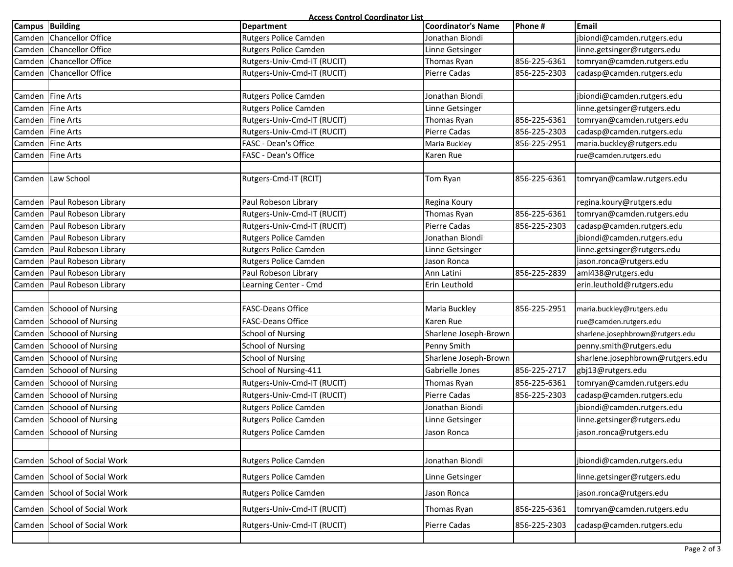**Access Control Coordinator List**

| Campus Building  |                               | <u>ALLESS CONTROL COORDINATOR LIST</u><br><b>Department</b> | <b>Coordinator's Name</b> | Phone #      | Email                            |
|------------------|-------------------------------|-------------------------------------------------------------|---------------------------|--------------|----------------------------------|
|                  | Camden Chancellor Office      | Rutgers Police Camden                                       | Jonathan Biondi           |              | jbiondi@camden.rutgers.edu       |
|                  | Camden Chancellor Office      | Rutgers Police Camden                                       | Linne Getsinger           |              | linne.getsinger@rutgers.edu      |
|                  | Camden Chancellor Office      | Rutgers-Univ-Cmd-IT (RUCIT)                                 | Thomas Ryan               | 856-225-6361 | tomryan@camden.rutgers.edu       |
|                  | Camden Chancellor Office      | Rutgers-Univ-Cmd-IT (RUCIT)                                 | <b>Pierre Cadas</b>       | 856-225-2303 | cadasp@camden.rutgers.edu        |
|                  |                               |                                                             |                           |              |                                  |
|                  | Camden   Fine Arts            | Rutgers Police Camden                                       | Jonathan Biondi           |              | jbiondi@camden.rutgers.edu       |
|                  | Camden   Fine Arts            | Rutgers Police Camden                                       | Linne Getsinger           |              | linne.getsinger@rutgers.edu      |
|                  | Camden Fine Arts              | Rutgers-Univ-Cmd-IT (RUCIT)                                 | Thomas Ryan               | 856-225-6361 | tomryan@camden.rutgers.edu       |
| Camden Fine Arts |                               | Rutgers-Univ-Cmd-IT (RUCIT)                                 | Pierre Cadas              | 856-225-2303 | cadasp@camden.rutgers.edu        |
| Camden Fine Arts |                               | FASC - Dean's Office                                        | Maria Buckley             | 856-225-2951 | maria.buckley@rutgers.edu        |
| Camden Fine Arts |                               | FASC - Dean's Office                                        | Karen Rue                 |              | rue@camden.rutgers.edu           |
|                  |                               |                                                             |                           |              |                                  |
|                  | Camden Law School             | Rutgers-Cmd-IT (RCIT)                                       | Tom Ryan                  | 856-225-6361 | tomryan@camlaw.rutgers.edu       |
|                  |                               |                                                             |                           |              |                                  |
|                  | Camden   Paul Robeson Library | Paul Robeson Library                                        | Regina Koury              |              | regina.koury@rutgers.edu         |
|                  | Camden   Paul Robeson Library | Rutgers-Univ-Cmd-IT (RUCIT)                                 | Thomas Ryan               | 856-225-6361 | tomryan@camden.rutgers.edu       |
|                  | Camden   Paul Robeson Library | Rutgers-Univ-Cmd-IT (RUCIT)                                 | Pierre Cadas              | 856-225-2303 | cadasp@camden.rutgers.edu        |
|                  | Camden   Paul Robeson Library | Rutgers Police Camden                                       | Jonathan Biondi           |              | jbiondi@camden.rutgers.edu       |
|                  | Camden   Paul Robeson Library | Rutgers Police Camden                                       | Linne Getsinger           |              | linne.getsinger@rutgers.edu      |
|                  | Camden   Paul Robeson Library | Rutgers Police Camden                                       | Jason Ronca               |              | jason.ronca@rutgers.edu          |
|                  | Camden   Paul Robeson Library | Paul Robeson Library                                        | Ann Latini                | 856-225-2839 | aml438@rutgers.edu               |
|                  | Camden   Paul Robeson Library | Learning Center - Cmd                                       | Erin Leuthold             |              | erin.leuthold@rutgers.edu        |
|                  |                               |                                                             |                           |              |                                  |
|                  | Camden Schoool of Nursing     | <b>FASC-Deans Office</b>                                    | Maria Buckley             | 856-225-2951 | maria.buckley@rutgers.edu        |
|                  | Camden Schoool of Nursing     | <b>FASC-Deans Office</b>                                    | Karen Rue                 |              | rue@camden.rutgers.edu           |
|                  | Camden Schoool of Nursing     | <b>School of Nursing</b>                                    | Sharlene Joseph-Brown     |              | sharlene.josephbrown@rutgers.edu |
|                  | Camden Schoool of Nursing     | <b>School of Nursing</b>                                    | Penny Smith               |              | penny.smith@rutgers.edu          |
|                  | Camden Schoool of Nursing     | <b>School of Nursing</b>                                    | Sharlene Joseph-Brown     |              | sharlene.josephbrown@rutgers.edu |
|                  | Camden Schoool of Nursing     | School of Nursing-411                                       | Gabrielle Jones           | 856-225-2717 | gbj13@rutgers.edu                |
|                  | Camden Schoool of Nursing     | Rutgers-Univ-Cmd-IT (RUCIT)                                 | Thomas Ryan               | 856-225-6361 | tomryan@camden.rutgers.edu       |
|                  | Camden Schoool of Nursing     | Rutgers-Univ-Cmd-IT (RUCIT)                                 | <b>Pierre Cadas</b>       | 856-225-2303 | cadasp@camden.rutgers.edu        |
|                  | Camden Schoool of Nursing     | Rutgers Police Camden                                       | Jonathan Biondi           |              | jbiondi@camden.rutgers.edu       |
|                  | Camden Schoool of Nursing     | <b>Rutgers Police Camden</b>                                | Linne Getsinger           |              | linne.getsinger@rutgers.edu      |
|                  | Camden Schoool of Nursing     | Rutgers Police Camden                                       | Jason Ronca               |              | jason.ronca@rutgers.edu          |
|                  |                               |                                                             |                           |              |                                  |
|                  | Camden School of Social Work  | Rutgers Police Camden                                       | Jonathan Biondi           |              | jbiondi@camden.rutgers.edu       |
|                  | Camden School of Social Work  | Rutgers Police Camden                                       | Linne Getsinger           |              | linne.getsinger@rutgers.edu      |
|                  | Camden School of Social Work  | Rutgers Police Camden                                       | Jason Ronca               |              | jason.ronca@rutgers.edu          |
|                  | Camden School of Social Work  | Rutgers-Univ-Cmd-IT (RUCIT)                                 | Thomas Ryan               | 856-225-6361 | tomryan@camden.rutgers.edu       |
|                  | Camden School of Social Work  | Rutgers-Univ-Cmd-IT (RUCIT)                                 | Pierre Cadas              | 856-225-2303 | cadasp@camden.rutgers.edu        |
|                  |                               |                                                             |                           |              |                                  |